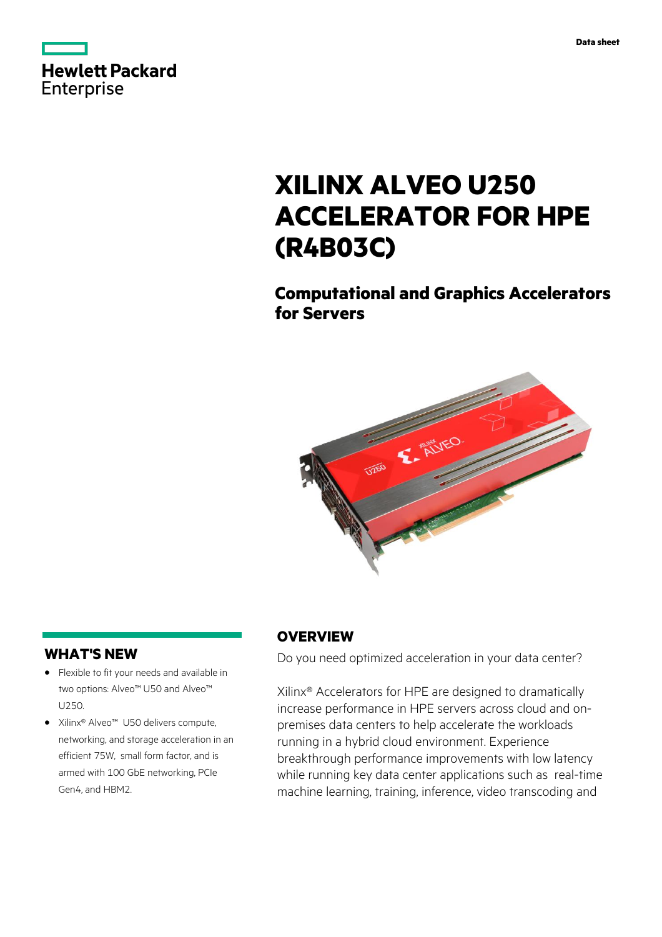

# **XILINX ALVEO U250 ACCELERATOR FOR HPE (R4B03C)**

## **Computational and Graphics Accelerators for Servers**



### **WHAT'S NEW**

- **·** Flexible to fit your needs and available in two options: Alveo™ U50 and Alveo™ U250.
- **·** Xilinx® Alveo™ U50 delivers compute, networking, and storage acceleration in an efficient 75W, small form factor, and is armed with 100 GbE networking, PCIe Gen4, and HBM2.

#### **OVERVIEW**

Do you need optimized acceleration in your data center?

Xilinx® Accelerators for HPE are designed to dramatically increase performance in HPE servers across cloud and onpremises data centers to help accelerate the workloads running in a hybrid cloud environment. Experience breakthrough performance improvements with low latency while running key data center applications such as real-time machine learning, training, inference, video transcoding and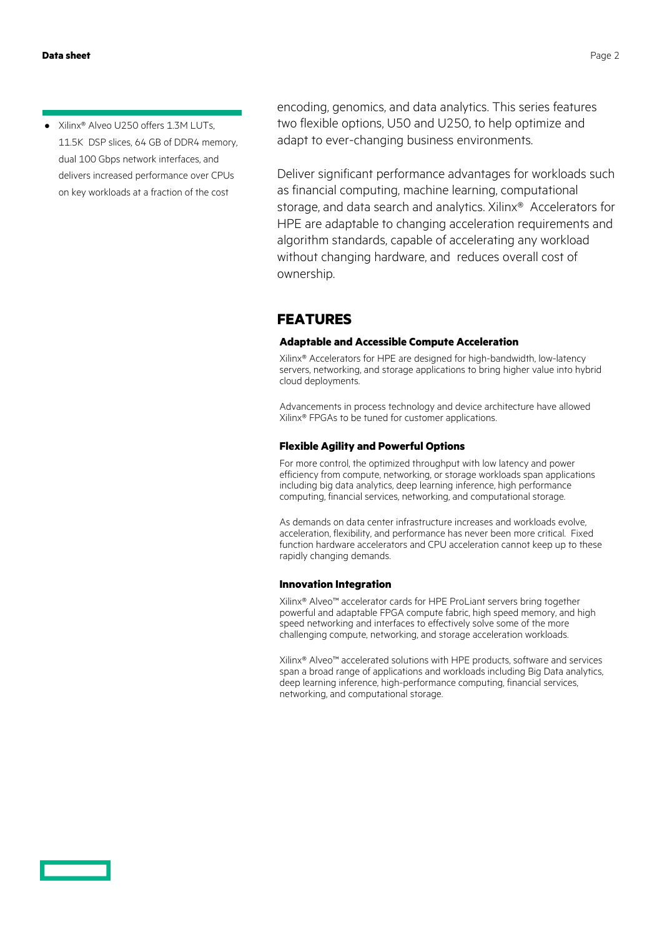**·** Xilinx® Alveo U250 offers 1.3M LUTs, 11.5K DSP slices, 64 GB of DDR4 memory, dual 100 Gbps network interfaces, and delivers increased performance over CPUs on key workloads at a fraction of the cost

encoding, genomics, and data analytics. This series features two flexible options, U50 and U250, to help optimize and adapt to ever-changing business environments.

Deliver significant performance advantages for workloads such as financial computing, machine learning, computational storage, and data search and analytics. Xilinx® Accelerators for HPE are adaptable to changing acceleration requirements and algorithm standards, capable of accelerating any workload without changing hardware, and reduces overall cost of ownership.

#### **FEATURES**

#### **Adaptable and Accessible Compute Acceleration**

Xilinx® Accelerators for HPE are designed for high-bandwidth, low-latency servers, networking, and storage applications to bring higher value into hybrid cloud deployments.

Advancements in process technology and device architecture have allowed Xilinx® FPGAs to be tuned for customer applications.

#### **Flexible Agility and Powerful Options**

For more control, the optimized throughput with low latency and power efficiency from compute, networking, or storage workloads span applications including big data analytics, deep learning inference, high performance computing, financial services, networking, and computational storage.

As demands on data center infrastructure increases and workloads evolve, acceleration, flexibility, and performance has never been more critical. Fixed function hardware accelerators and CPU acceleration cannot keep up to these rapidly changing demands.

#### **Innovation Integration**

Xilinx® Alveo™ accelerator cards for HPE ProLiant servers bring together powerful and adaptable FPGA compute fabric, high speed memory, and high speed networking and interfaces to effectively solve some of the more challenging compute, networking, and storage acceleration workloads.

Xilinx® Alveo™ accelerated solutions with HPE products, software and services span a broad range of applications and workloads including Big Data analytics, deep learning inference, high-performance computing, financial services, networking, and computational storage.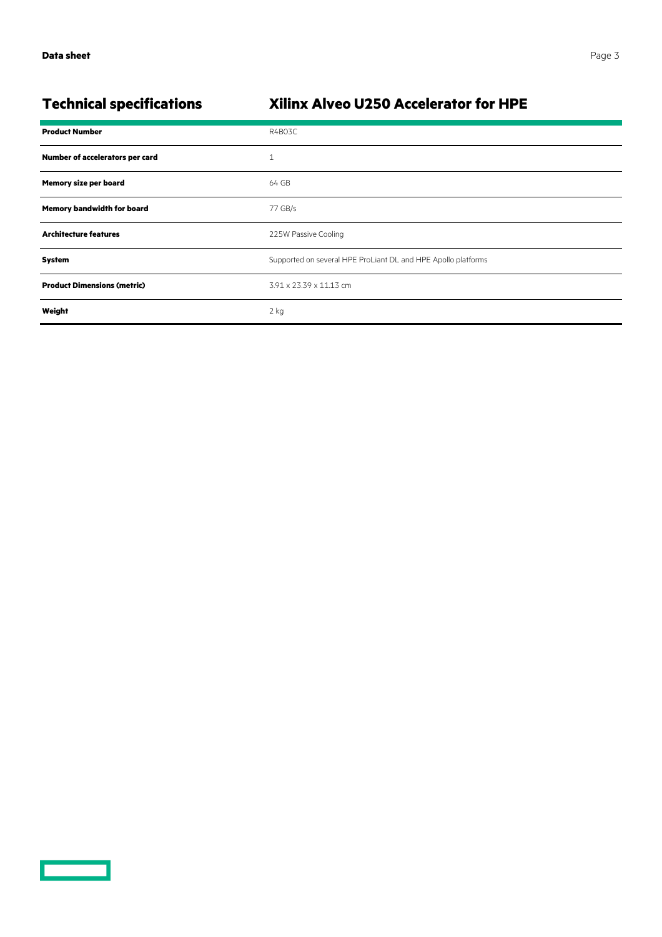<u>a an ainm an s</u>

### **Technical specifications Xilinx Alveo U250 Accelerator for HPE**

| <b>Product Number</b>              | R4B03C                                                        |
|------------------------------------|---------------------------------------------------------------|
| Number of accelerators per card    | $\mathbf{1}$                                                  |
| <b>Memory size per board</b>       | 64 GB                                                         |
| Memory bandwidth for board         | 77 GB/s                                                       |
| <b>Architecture features</b>       | 225W Passive Cooling                                          |
| System                             | Supported on several HPE ProLiant DL and HPE Apollo platforms |
| <b>Product Dimensions (metric)</b> | 3.91 x 23.39 x 11.13 cm                                       |
| Weight                             | $2$ kg                                                        |